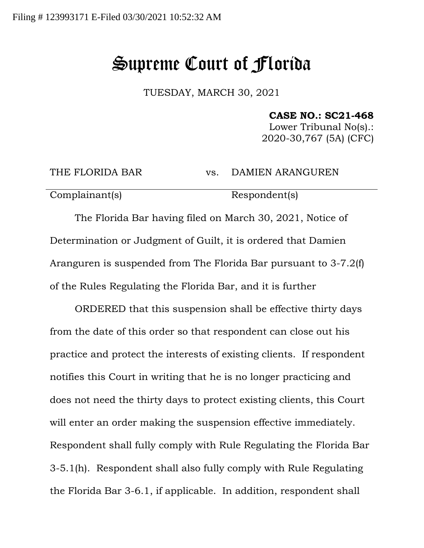## Supreme Court of Florida

TUESDAY, MARCH 30, 2021

**CASE NO.: SC21-468**

Lower Tribunal No(s).: 2020-30,767 (5A) (CFC)

THE FLORIDA BAR vs. DAMIEN ARANGUREN

Complainant(s) Respondent(s)

The Florida Bar having filed on March 30, 2021, Notice of Determination or Judgment of Guilt, it is ordered that Damien Aranguren is suspended from The Florida Bar pursuant to 3-7.2(f) of the Rules Regulating the Florida Bar, and it is further

ORDERED that this suspension shall be effective thirty days from the date of this order so that respondent can close out his practice and protect the interests of existing clients. If respondent notifies this Court in writing that he is no longer practicing and does not need the thirty days to protect existing clients, this Court will enter an order making the suspension effective immediately. Respondent shall fully comply with Rule Regulating the Florida Bar 3-5.1(h). Respondent shall also fully comply with Rule Regulating the Florida Bar 3-6.1, if applicable. In addition, respondent shall